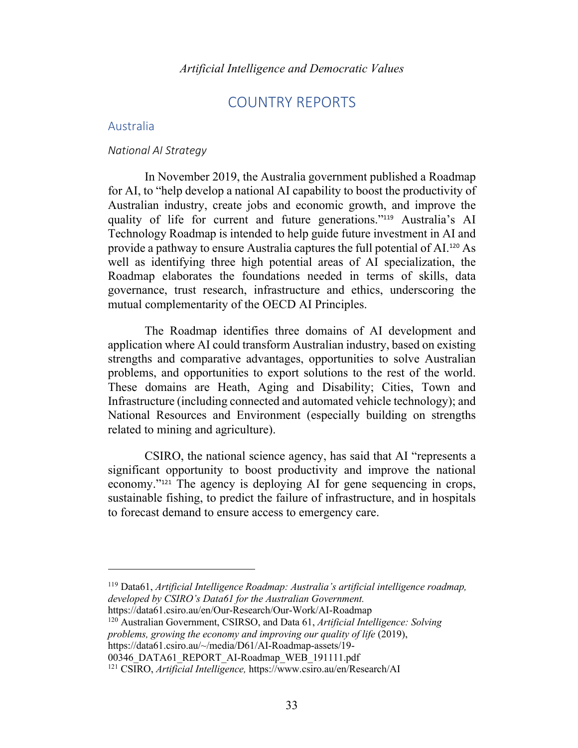# COUNTRY REPORTS

# Australia

# *National AI Strategy*

In November 2019, the Australia government published a Roadmap for AI, to "help develop a national AI capability to boost the productivity of Australian industry, create jobs and economic growth, and improve the quality of life for current and future generations."<sup>119</sup> Australia's AI Technology Roadmap is intended to help guide future investment in AI and provide a pathway to ensure Australia captures the full potential of AI.<sup>120</sup> As well as identifying three high potential areas of AI specialization, the Roadmap elaborates the foundations needed in terms of skills, data governance, trust research, infrastructure and ethics, underscoring the mutual complementarity of the OECD AI Principles.

The Roadmap identifies three domains of AI development and application where AI could transform Australian industry, based on existing strengths and comparative advantages, opportunities to solve Australian problems, and opportunities to export solutions to the rest of the world. These domains are Heath, Aging and Disability; Cities, Town and Infrastructure (including connected and automated vehicle technology); and National Resources and Environment (especially building on strengths related to mining and agriculture).

CSIRO, the national science agency, has said that AI "represents a significant opportunity to boost productivity and improve the national economy."<sup>121</sup> The agency is deploying AI for gene sequencing in crops, sustainable fishing, to predict the failure of infrastructure, and in hospitals to forecast demand to ensure access to emergency care.

https://data61.csiro.au/en/Our-Research/Our-Work/AI-Roadmap

<sup>120</sup> Australian Government, CSIRSO, and Data 61, *Artificial Intelligence: Solving problems, growing the economy and improving our quality of life* (2019), https://data61.csiro.au/~/media/D61/AI-Roadmap-assets/19-

<sup>119</sup> Data61, *Artificial Intelligence Roadmap: Australia's artificial intelligence roadmap, developed by CSIRO's Data61 for the Australian Government.*

<sup>00346</sup>\_DATA61\_REPORT\_AI-Roadmap\_WEB\_191111.pdf

<sup>121</sup> CSIRO, *Artificial Intelligence,* https://www.csiro.au/en/Research/AI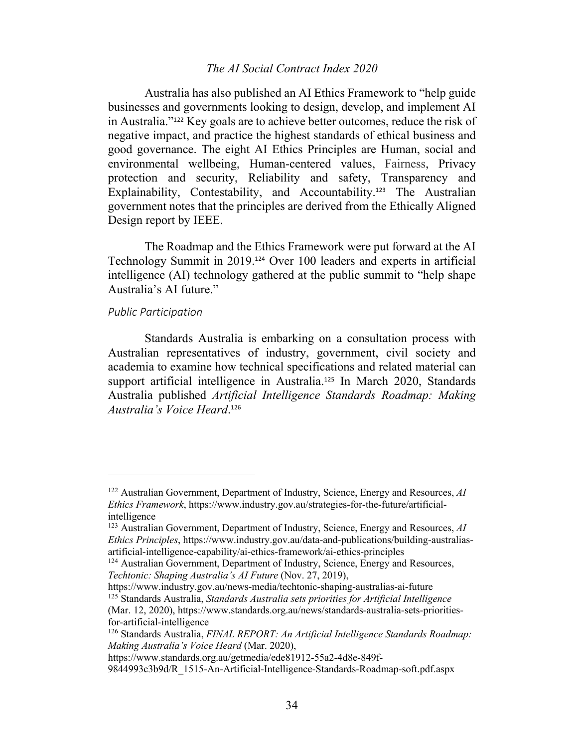# *The AI Social Contract Index 2020*

Australia has also published an AI Ethics Framework to "help guide businesses and governments looking to design, develop, and implement AI in Australia."<sup>122</sup> Key goals are to achieve better outcomes, reduce the risk of negative impact, and practice the highest standards of ethical business and good governance. The eight AI Ethics Principles are Human, social and environmental wellbeing, Human-centered values, Fairness, Privacy protection and security, Reliability and safety, Transparency and Explainability, Contestability, and Accountability.<sup>123</sup> The Australian government notes that the principles are derived from the Ethically Aligned Design report by IEEE.

The Roadmap and the Ethics Framework were put forward at the AI Technology Summit in 2019.<sup>124</sup> Over 100 leaders and experts in artificial intelligence (AI) technology gathered at the public summit to "help shape Australia's AI future."

# *Public Participation*

Standards Australia is embarking on a consultation process with Australian representatives of industry, government, civil society and academia to examine how technical specifications and related material can support artificial intelligence in Australia.<sup>125</sup> In March 2020, Standards Australia published *Artificial Intelligence Standards Roadmap: Making Australia's Voice Heard*. 126

https://www.industry.gov.au/news-media/techtonic-shaping-australias-ai-future <sup>125</sup> Standards Australia, *Standards Australia sets priorities for Artificial Intelligence* (Mar. 12, 2020), https://www.standards.org.au/news/standards-australia-sets-prioritiesfor-artificial-intelligence

<sup>122</sup> Australian Government, Department of Industry, Science, Energy and Resources, *AI Ethics Framework*, https://www.industry.gov.au/strategies-for-the-future/artificialintelligence

<sup>123</sup> Australian Government, Department of Industry, Science, Energy and Resources, *AI Ethics Principles*, https://www.industry.gov.au/data-and-publications/building-australiasartificial-intelligence-capability/ai-ethics-framework/ai-ethics-principles

<sup>&</sup>lt;sup>124</sup> Australian Government, Department of Industry, Science, Energy and Resources, *Techtonic: Shaping Australia's AI Future* (Nov. 27, 2019),

<sup>126</sup> Standards Australia, *FINAL REPORT: An Artificial Intelligence Standards Roadmap: Making Australia's Voice Heard* (Mar. 2020),

https://www.standards.org.au/getmedia/ede81912-55a2-4d8e-849f-

<sup>9844993</sup>c3b9d/R\_1515-An-Artificial-Intelligence-Standards-Roadmap-soft.pdf.aspx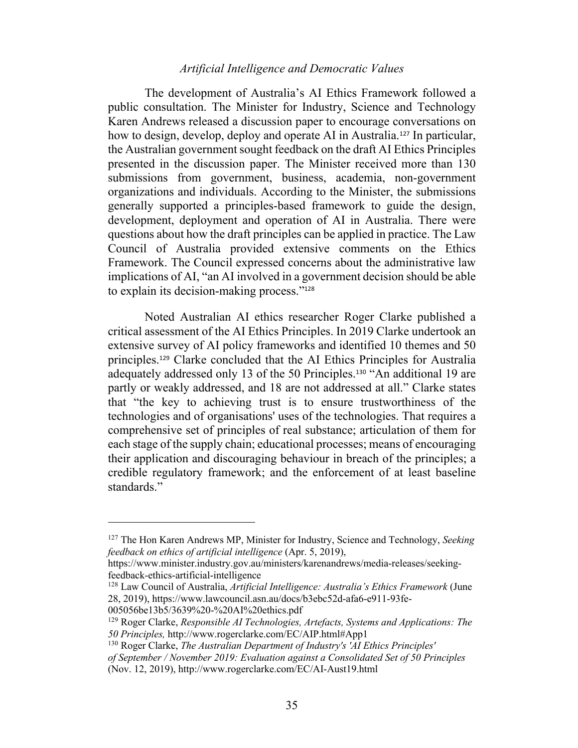# *Artificial Intelligence and Democratic Values*

The development of Australia's AI Ethics Framework followed a public consultation. The Minister for Industry, Science and Technology Karen Andrews released a discussion paper to encourage conversations on how to design, develop, deploy and operate AI in Australia.<sup>127</sup> In particular, the Australian government sought feedback on the draft AI Ethics Principles presented in the discussion paper. The Minister received more than 130 submissions from government, business, academia, non-government organizations and individuals. According to the Minister, the submissions generally supported a principles-based framework to guide the design, development, deployment and operation of AI in Australia. There were questions about how the draft principles can be applied in practice. The Law Council of Australia provided extensive comments on the Ethics Framework. The Council expressed concerns about the administrative law implications of AI, "an AI involved in a government decision should be able to explain its decision-making process."<sup>128</sup>

Noted Australian AI ethics researcher Roger Clarke published a critical assessment of the AI Ethics Principles. In 2019 Clarke undertook an extensive survey of AI policy frameworks and identified 10 themes and 50 principles.<sup>129</sup> Clarke concluded that the AI Ethics Principles for Australia adequately addressed only 13 of the 50 Principles. <sup>130</sup> "An additional 19 are partly or weakly addressed, and 18 are not addressed at all." Clarke states that "the key to achieving trust is to ensure trustworthiness of the technologies and of organisations' uses of the technologies. That requires a comprehensive set of principles of real substance; articulation of them for each stage of the supply chain; educational processes; means of encouraging their application and discouraging behaviour in breach of the principles; a credible regulatory framework; and the enforcement of at least baseline standards."

005056be13b5/3639%20-%20AI%20ethics.pdf

<sup>127</sup> The Hon Karen Andrews MP, Minister for Industry, Science and Technology, *Seeking feedback on ethics of artificial intelligence* (Apr. 5, 2019),

https://www.minister.industry.gov.au/ministers/karenandrews/media-releases/seekingfeedback-ethics-artificial-intelligence

<sup>128</sup> Law Council of Australia, *Artificial Intelligence: Australia's Ethics Framework* (June 28, 2019), https://www.lawcouncil.asn.au/docs/b3ebc52d-afa6-e911-93fe-

<sup>129</sup> Roger Clarke, *Responsible AI Technologies, Artefacts, Systems and Applications: The 50 Principles,* http://www.rogerclarke.com/EC/AIP.html#App1

<sup>130</sup> Roger Clarke, *The Australian Department of Industry's 'AI Ethics Principles'*

*of September / November 2019: Evaluation against a Consolidated Set of 50 Principles*  (Nov. 12, 2019), http://www.rogerclarke.com/EC/AI-Aust19.html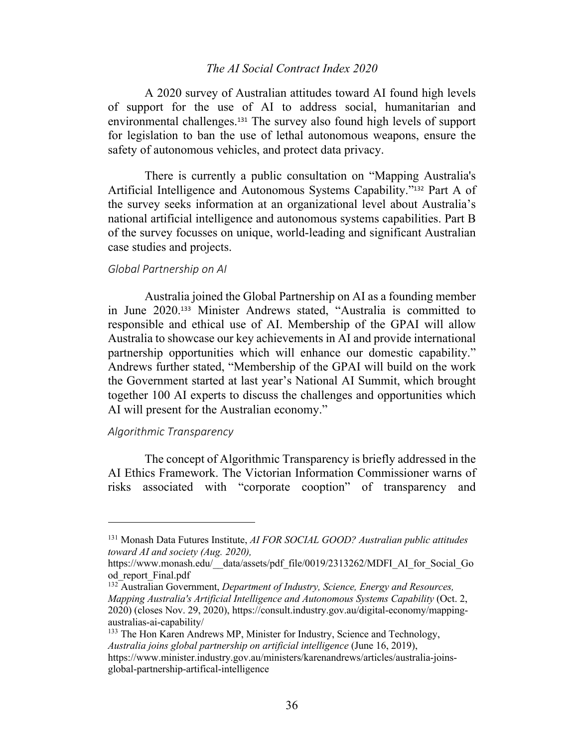# *The AI Social Contract Index 2020*

A 2020 survey of Australian attitudes toward AI found high levels of support for the use of AI to address social, humanitarian and environmental challenges.<sup>131</sup> The survey also found high levels of support for legislation to ban the use of lethal autonomous weapons, ensure the safety of autonomous vehicles, and protect data privacy.

There is currently a public consultation on "Mapping Australia's Artificial Intelligence and Autonomous Systems Capability."<sup>132</sup> Part A of the survey seeks information at an organizational level about Australia's national artificial intelligence and autonomous systems capabilities. Part B of the survey focusses on unique, world-leading and significant Australian case studies and projects.

#### *Global Partnership on AI*

Australia joined the Global Partnership on AI as a founding member in June 2020.<sup>133</sup> Minister Andrews stated, "Australia is committed to responsible and ethical use of AI. Membership of the GPAI will allow Australia to showcase our key achievements in AI and provide international partnership opportunities which will enhance our domestic capability." Andrews further stated, "Membership of the GPAI will build on the work the Government started at last year's National AI Summit, which brought together 100 AI experts to discuss the challenges and opportunities which AI will present for the Australian economy."

#### *Algorithmic Transparency*

The concept of Algorithmic Transparency is briefly addressed in the AI Ethics Framework. The Victorian Information Commissioner warns of risks associated with "corporate cooption" of transparency and

<sup>131</sup> Monash Data Futures Institute, *AI FOR SOCIAL GOOD? Australian public attitudes toward AI and society (Aug. 2020),*

https://www.monash.edu/\_data/assets/pdf\_file/0019/2313262/MDFI\_AI\_for\_Social\_Go od\_report\_Final.pdf

<sup>132</sup> Australian Government, *Department of Industry, Science, Energy and Resources, Mapping Australia's Artificial Intelligence and Autonomous Systems Capability* (Oct. 2, 2020) (closes Nov. 29, 2020), https://consult.industry.gov.au/digital-economy/mappingaustralias-ai-capability/

<sup>&</sup>lt;sup>133</sup> The Hon Karen Andrews MP, Minister for Industry, Science and Technology, *Australia joins global partnership on artificial intelligence* (June 16, 2019), https://www.minister.industry.gov.au/ministers/karenandrews/articles/australia-joinsglobal-partnership-artifical-intelligence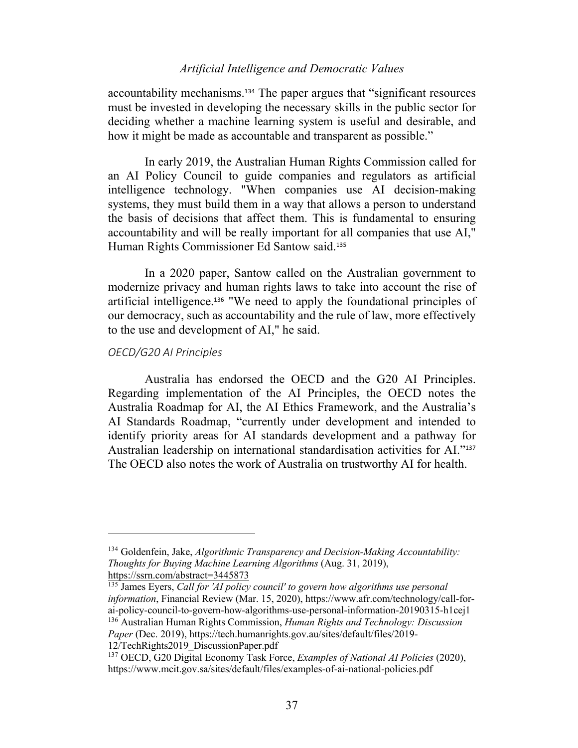# *Artificial Intelligence and Democratic Values*

accountability mechanisms. <sup>134</sup> The paper argues that "significant resources must be invested in developing the necessary skills in the public sector for deciding whether a machine learning system is useful and desirable, and how it might be made as accountable and transparent as possible."

In early 2019, the Australian Human Rights Commission called for an AI Policy Council to guide companies and regulators as artificial intelligence technology. "When companies use AI decision-making systems, they must build them in a way that allows a person to understand the basis of decisions that affect them. This is fundamental to ensuring accountability and will be really important for all companies that use AI," Human Rights Commissioner Ed Santow said.<sup>135</sup>

In a 2020 paper, Santow called on the Australian government to modernize privacy and human rights laws to take into account the rise of artificial intelligence. <sup>136</sup> "We need to apply the foundational principles of our democracy, such as accountability and the rule of law, more effectively to the use and development of AI," he said.

#### *OECD/G20 AI Principles*

Australia has endorsed the OECD and the G20 AI Principles. Regarding implementation of the AI Principles, the OECD notes the Australia Roadmap for AI, the AI Ethics Framework, and the Australia's AI Standards Roadmap, "currently under development and intended to identify priority areas for AI standards development and a pathway for Australian leadership on international standardisation activities for AI."<sup>137</sup> The OECD also notes the work of Australia on trustworthy AI for health.

12/TechRights2019\_DiscussionPaper.pdf

<sup>134</sup> Goldenfein, Jake, *Algorithmic Transparency and Decision-Making Accountability: Thoughts for Buying Machine Learning Algorithms* (Aug. 31, 2019), https://ssrn.com/abstract=3445873

<sup>135</sup> James Eyers, *Call for 'AI policy council' to govern how algorithms use personal information*, Financial Review (Mar. 15, 2020), https://www.afr.com/technology/call-forai-policy-council-to-govern-how-algorithms-use-personal-information-20190315-h1cej1 <sup>136</sup> Australian Human Rights Commission, *Human Rights and Technology: Discussion Paper* (Dec. 2019), https://tech.humanrights.gov.au/sites/default/files/2019-

<sup>137</sup> OECD, G20 Digital Economy Task Force, *Examples of National AI Policies* (2020), https://www.mcit.gov.sa/sites/default/files/examples-of-ai-national-policies.pdf